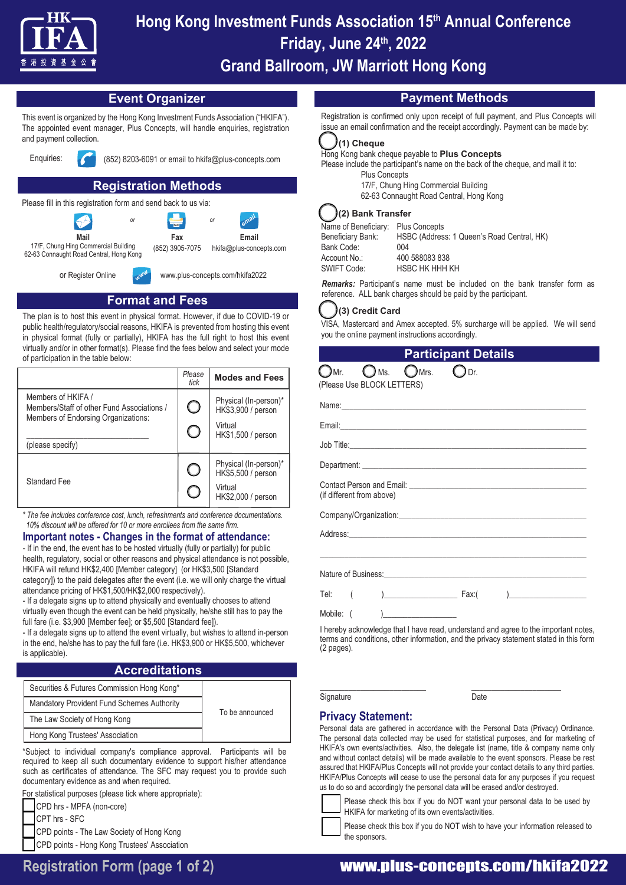

# **Hong Kong Investment Funds Association 15th Annual Conference Friday, June 24th, 2022 Grand Ballroom, JW Marriott Hong Kong**

# **Event Organizer**

This event is organized by the Hong Kong Investment Funds Association ("HKIFA"). The appointed event manager, Plus Concepts, will handle enquiries, registration and payment collection.



Enquiries: (852) 8203-6091 or email to hkifa@plus-concepts.com

# **Registration Methods**

Please fill in this registration form and send back to us via:





**FAX** *email* **Email** hkifa@plus-concepts.com

17/F, Chung Hing Commercial Building 62-63 Connaught Road Central, Hong Kong

or Register Online

www.plus-concepts.com/hkifa2022

# **Format and Fees**

*www*

The plan is to host this event in physical format. However, if due to COVID-19 or public health/regulatory/social reasons, HKIFA is prevented from hosting this event in physical format (fully or partially), HKIFA has the full right to host this event virtually and/or in other format(s). Please find the fees below and select your mode of participation in the table below:

|                                                                  | Please<br>tick | <b>Modes and Fees</b>                       |
|------------------------------------------------------------------|----------------|---------------------------------------------|
| Members of HKIFA /<br>Members/Staff of other Fund Associations / |                | Physical (In-person)*<br>HK\$3,900 / person |
| Members of Endorsing Organizations:<br>(please specify)          |                | Virtual<br>HK\$1,500 / person               |
| Standard Fee                                                     |                | Physical (In-person)*<br>HK\$5,500 / person |
|                                                                  |                | Virtual<br>HK\$2,000 / person               |

*\* The fee includes conference cost, lunch, refreshments and conference documentations. 10% discount will be offered for 10 or more enrollees from the same firm.*

# **Important notes - Changes in the format of attendance:**

- If in the end, the event has to be hosted virtually (fully or partially) for public health, regulatory, social or other reasons and physical attendance is not possible, HKIFA will refund HK\$2,400 [Member category] (or HK\$3,500 [Standard category]) to the paid delegates after the event (i.e. we will only charge the virtual attendance pricing of HK\$1,500/HK\$2,000 respectively).

- If a delegate signs up to attend physically and eventually chooses to attend virtually even though the event can be held physically, he/she still has to pay the full fare (i.e. \$3,900 [Member fee]; or \$5,500 [Standard fee]).

- If a delegate signs up to attend the event virtually, but wishes to attend in-person in the end, he/she has to pay the full fare (i.e. HK\$3,900 or HK\$5,500, whichever is applicable).

# **Accreditations**

| Securities & Futures Commission Hong Kong*        | To be announced |
|---------------------------------------------------|-----------------|
| <b>Mandatory Provident Fund Schemes Authority</b> |                 |
| The Law Society of Hong Kong                      |                 |
| Hong Kong Trustees' Association                   |                 |

\*Subject to individual company's compliance approval. Participants will be required to keep all such documentary evidence to support his/her attendance such as certificates of attendance. The SFC may request you to provide such documentary evidence as and when required.

For statistical purposes (please tick where appropriate):

CPD hrs - MPFA (non-core)

CPT hrs - SFC

 CPD points - The Law Society of Hong Kong CPD points - Hong Kong Trustees' Association

# **Payment Methods**

Registration is confirmed only upon receipt of full payment, and Plus Concepts will issue an email confirmation and the receipt accordingly. Payment can be made by:

### **(1) Cheque**

#### Hong Kong bank cheque payable to **Plus Concepts**

Please include the participant's name on the back of the cheque, and mail it to: Plus Concepts 17/F, Chung Hing Commercial Building 62-63 Connaught Road Central, Hong Kong

**(2) Bank Transfer**

Name of Beneficiary: Plus Concepts Beneficiary Bank: HSBC (Address: 1 Queen's Road Central, HK) Bank Code: 004 Account No.: 400 588083 838 SWIFT Code: HSBC HK HHH KH

*Remarks:* Participant's name must be included on the bank transfer form as reference. ALL bank charges should be paid by the participant.

## **(3) Credit Card**

VISA, Mastercard and Amex accepted. 5% surcharge will be applied. We will send you the online payment instructions accordingly.

**Participant Details**

| $\bigcirc$ Ms.<br>$_{\bigcup$ Mrs.<br>$\mathcal{M}$ n.<br>(JDr.<br>(Please Use BLOCK LETTERS)                   |
|-----------------------------------------------------------------------------------------------------------------|
|                                                                                                                 |
|                                                                                                                 |
|                                                                                                                 |
|                                                                                                                 |
| (if different from above)                                                                                       |
|                                                                                                                 |
| Address: 2008 2009 2010 2020 2020 2020 2021 2021 2022 2021 2022 2022 2022 2022 2022 2022 2022 2022 2022 2022 20 |
|                                                                                                                 |
|                                                                                                                 |
|                                                                                                                 |
| Mobile: (                                                                                                       |
| I haraby asknowledge that I have read understand and egge to the important peter                                |

hereby acknowledge that I have read, understand and agree to the important notes, terms and conditions, other information, and the privacy statement stated in this form (2 pages).

Signature Date

\_\_\_\_\_\_\_\_\_\_\_\_\_\_\_\_\_\_\_\_\_\_\_\_\_\_ \_\_\_\_\_\_\_\_\_\_\_\_\_\_\_\_\_\_\_\_\_\_

# **Privacy Statement:**

Personal data are gathered in accordance with the Personal Data (Privacy) Ordinance. The personal data collected may be used for statistical purposes, and for marketing of HKIFA's own events/activities. Also, the delegate list (name, title & company name only and without contact details) will be made available to the event sponsors. Please be rest assured that HKIFA/Plus Concepts will not provide your contact details to any third parties. HKIFA/Plus Concepts will cease to use the personal data for any purposes if you request us to do so and accordingly the personal data will be erased and/or destroyed.



Please check this box if you do NOT want your personal data to be used by HKIFA for marketing of its own events/activities.

Please check this box if you do NOT wish to have your information released to the sponsors.

# **Registration Form (page 1 of 2)** www.plus-concepts.com/hkifa2022